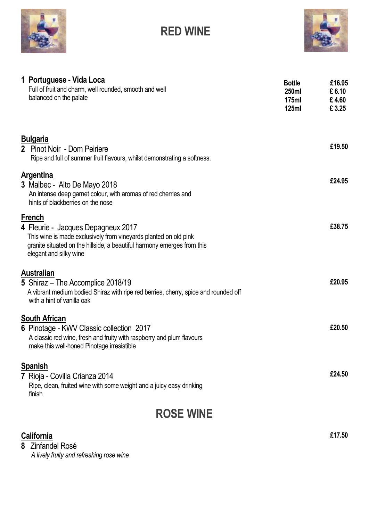

**RED WINE**



| 1 Portuguese - Vida Loca<br>Full of fruit and charm, well rounded, smooth and well<br>balanced on the palate                                                                                                                 | <b>Bottle</b><br>250ml<br>175ml<br>125ml | £16.95<br>£6.10<br>£4.60<br>£3.25 |
|------------------------------------------------------------------------------------------------------------------------------------------------------------------------------------------------------------------------------|------------------------------------------|-----------------------------------|
| <b>Bulgaria</b><br>2 Pinot Noir - Dom Peiriere<br>Ripe and full of summer fruit flavours, whilst demonstrating a softness.                                                                                                   |                                          | £19.50                            |
| Argentina<br>3 Malbec - Alto De Mayo 2018<br>An intense deep garnet colour, with aromas of red cherries and<br>hints of blackberries on the nose                                                                             |                                          | £24.95                            |
| <b>French</b><br>4 Fleurie - Jacques Depagneux 2017<br>This wine is made exclusively from vineyards planted on old pink<br>granite situated on the hillside, a beautiful harmony emerges from this<br>elegant and silky wine |                                          | £38.75                            |
| <b>Australian</b><br>5 Shiraz – The Accomplice 2018/19<br>A vibrant medium bodied Shiraz with ripe red berries, cherry, spice and rounded off<br>with a hint of vanilla oak                                                  |                                          | £20.95                            |
| <b>South African</b><br>6 Pinotage - KWV Classic collection 2017<br>A classic red wine, fresh and fruity with raspberry and plum flavours<br>make this well-honed Pinotage irresistible                                      |                                          | £20.50                            |
| <b>Spanish</b><br>7 Rioja - Covilla Crianza 2014<br>Ripe, clean, fruited wine with some weight and a juicy easy drinking<br>finish                                                                                           |                                          | £24.50                            |
|                                                                                                                                                                                                                              |                                          |                                   |

## **ROSE WINE**

## **California 8** Zinfandel Rosé

*A lively fruity and refreshing rose wine*